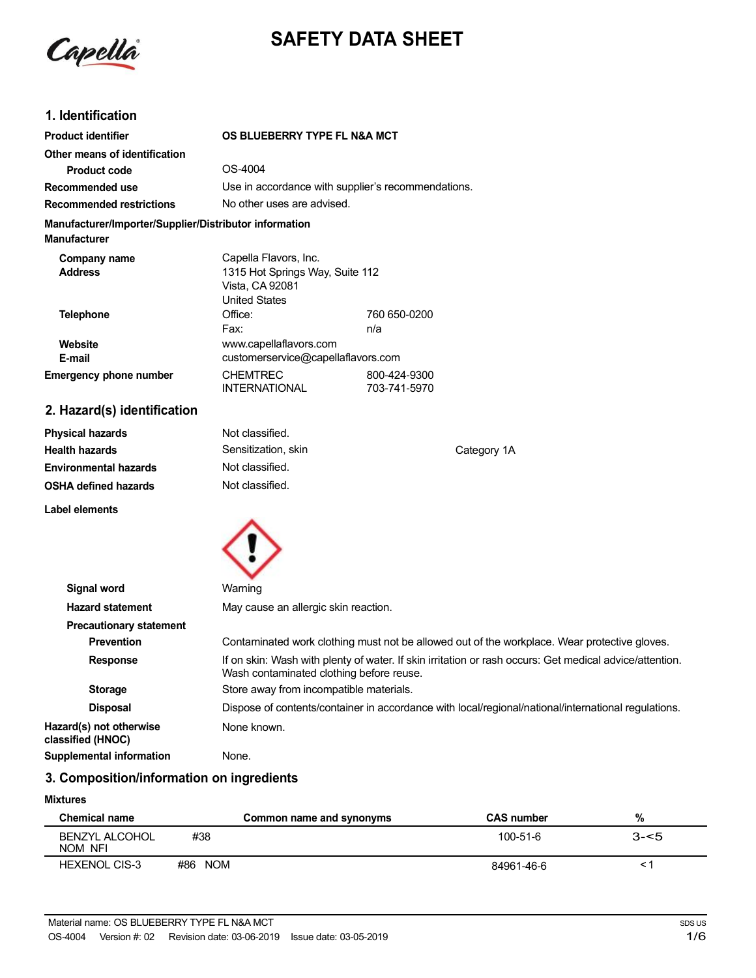

# **SAFETY DATA SHEET**

### **1. Identification**

| <b>Product identifier</b>                                                     | OS BLUEBERRY TYPE FL N&A MCT                                                                        |                              |
|-------------------------------------------------------------------------------|-----------------------------------------------------------------------------------------------------|------------------------------|
| Other means of identification                                                 |                                                                                                     |                              |
| <b>Product code</b>                                                           | OS-4004                                                                                             |                              |
| Recommended use                                                               | Use in accordance with supplier's recommendations.                                                  |                              |
| <b>Recommended restrictions</b>                                               | No other uses are advised.                                                                          |                              |
| Manufacturer/Importer/Supplier/Distributor information<br><b>Manufacturer</b> |                                                                                                     |                              |
| Company name<br><b>Address</b>                                                | Capella Flavors, Inc.<br>1315 Hot Springs Way, Suite 112<br>Vista, CA 92081<br><b>United States</b> |                              |
| Telephone                                                                     | Office:<br>Fax:                                                                                     | 760 650-0200<br>n/a          |
| Website<br>E-mail                                                             | www.capellaflavors.com<br>customerservice@capellaflavors.com                                        |                              |
| <b>Emergency phone number</b>                                                 | <b>CHEMTREC</b><br><b>INTERNATIONAL</b>                                                             | 800-424-9300<br>703-741-5970 |
| 2. Hazard(s) identification                                                   |                                                                                                     |                              |

| <b>Physical hazards</b>      | Not classified.     |             |
|------------------------------|---------------------|-------------|
| <b>Health hazards</b>        | Sensitization, skin | Category 1A |
| <b>Environmental hazards</b> | Not classified.     |             |
| <b>OSHA defined hazards</b>  | Not classified.     |             |
| Label elements               |                     |             |



| Signal word                                  | Warning                                                                                                                                             |  |
|----------------------------------------------|-----------------------------------------------------------------------------------------------------------------------------------------------------|--|
| <b>Hazard statement</b>                      | May cause an allergic skin reaction.                                                                                                                |  |
| <b>Precautionary statement</b>               |                                                                                                                                                     |  |
| <b>Prevention</b>                            | Contaminated work clothing must not be allowed out of the workplace. Wear protective gloves.                                                        |  |
| <b>Response</b>                              | If on skin: Wash with plenty of water. If skin irritation or rash occurs: Get medical advice/attention.<br>Wash contaminated clothing before reuse. |  |
| <b>Storage</b>                               | Store away from incompatible materials.                                                                                                             |  |
| <b>Disposal</b>                              | Dispose of contents/container in accordance with local/regional/national/international regulations.                                                 |  |
| Hazard(s) not otherwise<br>classified (HNOC) | None known.                                                                                                                                         |  |
| <b>Supplemental information</b>              | None.                                                                                                                                               |  |

# **3. Composition/information on ingredients**

#### **Mixtures**

| Chemical name                    |         | Common name and synonyms | <b>CAS number</b> | %       |
|----------------------------------|---------|--------------------------|-------------------|---------|
| <b>BENZYL ALCOHOL</b><br>NOM NFI | #38     |                          | 100-51-6          | $3 - 5$ |
| <b>HEXENOL CIS-3</b>             | #86 NOM |                          | 84961-46-6        |         |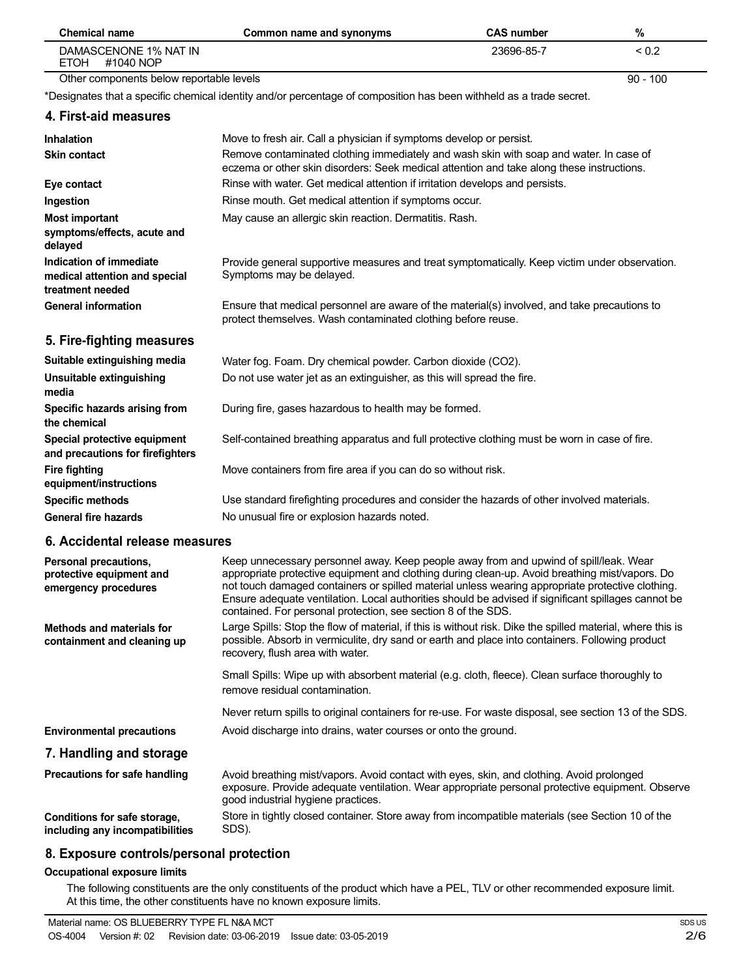| <b>Chemical name</b>                                                         | Common name and synonyms                                                                                                                                                                                                                                                                                                                                                                                                                                            | <b>CAS number</b> | $\%$       |
|------------------------------------------------------------------------------|---------------------------------------------------------------------------------------------------------------------------------------------------------------------------------------------------------------------------------------------------------------------------------------------------------------------------------------------------------------------------------------------------------------------------------------------------------------------|-------------------|------------|
| DAMASCENONE 1% NAT IN<br><b>ETOH</b><br>#1040 NOP                            |                                                                                                                                                                                                                                                                                                                                                                                                                                                                     | 23696-85-7        | ${}_{0.2}$ |
| Other components below reportable levels                                     |                                                                                                                                                                                                                                                                                                                                                                                                                                                                     |                   | $90 - 100$ |
|                                                                              | *Designates that a specific chemical identity and/or percentage of composition has been withheld as a trade secret.                                                                                                                                                                                                                                                                                                                                                 |                   |            |
| 4. First-aid measures                                                        |                                                                                                                                                                                                                                                                                                                                                                                                                                                                     |                   |            |
| <b>Inhalation</b>                                                            | Move to fresh air. Call a physician if symptoms develop or persist.                                                                                                                                                                                                                                                                                                                                                                                                 |                   |            |
| <b>Skin contact</b>                                                          | Remove contaminated clothing immediately and wash skin with soap and water. In case of<br>eczema or other skin disorders: Seek medical attention and take along these instructions.                                                                                                                                                                                                                                                                                 |                   |            |
| Eye contact                                                                  | Rinse with water. Get medical attention if irritation develops and persists.                                                                                                                                                                                                                                                                                                                                                                                        |                   |            |
| Ingestion                                                                    | Rinse mouth. Get medical attention if symptoms occur.                                                                                                                                                                                                                                                                                                                                                                                                               |                   |            |
| <b>Most important</b><br>symptoms/effects, acute and<br>delayed              | May cause an allergic skin reaction. Dermatitis. Rash.                                                                                                                                                                                                                                                                                                                                                                                                              |                   |            |
| Indication of immediate<br>medical attention and special<br>treatment needed | Provide general supportive measures and treat symptomatically. Keep victim under observation.<br>Symptoms may be delayed.                                                                                                                                                                                                                                                                                                                                           |                   |            |
| <b>General information</b>                                                   | Ensure that medical personnel are aware of the material(s) involved, and take precautions to<br>protect themselves. Wash contaminated clothing before reuse.                                                                                                                                                                                                                                                                                                        |                   |            |
| 5. Fire-fighting measures                                                    |                                                                                                                                                                                                                                                                                                                                                                                                                                                                     |                   |            |
| Suitable extinguishing media                                                 | Water fog. Foam. Dry chemical powder. Carbon dioxide (CO2).                                                                                                                                                                                                                                                                                                                                                                                                         |                   |            |
| Unsuitable extinguishing<br>media                                            | Do not use water jet as an extinguisher, as this will spread the fire.                                                                                                                                                                                                                                                                                                                                                                                              |                   |            |
| Specific hazards arising from<br>the chemical                                | During fire, gases hazardous to health may be formed.                                                                                                                                                                                                                                                                                                                                                                                                               |                   |            |
| Special protective equipment<br>and precautions for firefighters             | Self-contained breathing apparatus and full protective clothing must be worn in case of fire.                                                                                                                                                                                                                                                                                                                                                                       |                   |            |
| <b>Fire fighting</b><br>equipment/instructions                               | Move containers from fire area if you can do so without risk.                                                                                                                                                                                                                                                                                                                                                                                                       |                   |            |
| <b>Specific methods</b>                                                      | Use standard firefighting procedures and consider the hazards of other involved materials.                                                                                                                                                                                                                                                                                                                                                                          |                   |            |
| <b>General fire hazards</b>                                                  | No unusual fire or explosion hazards noted.                                                                                                                                                                                                                                                                                                                                                                                                                         |                   |            |
| 6. Accidental release measures                                               |                                                                                                                                                                                                                                                                                                                                                                                                                                                                     |                   |            |
| Personal precautions,<br>protective equipment and<br>emergency procedures    | Keep unnecessary personnel away. Keep people away from and upwind of spill/leak. Wear<br>appropriate protective equipment and clothing during clean-up. Avoid breathing mist/vapors. Do<br>not touch damaged containers or spilled material unless wearing appropriate protective clothing.<br>Ensure adequate ventilation. Local authorities should be advised if significant spillages cannot be<br>contained. For personal protection, see section 8 of the SDS. |                   |            |
| <b>Methods and materials for</b><br>containment and cleaning up              | Large Spills: Stop the flow of material, if this is without risk. Dike the spilled material, where this is<br>possible. Absorb in vermiculite, dry sand or earth and place into containers. Following product<br>recovery, flush area with water.                                                                                                                                                                                                                   |                   |            |
|                                                                              | Small Spills: Wipe up with absorbent material (e.g. cloth, fleece). Clean surface thoroughly to<br>remove residual contamination.                                                                                                                                                                                                                                                                                                                                   |                   |            |
|                                                                              | Never return spills to original containers for re-use. For waste disposal, see section 13 of the SDS.                                                                                                                                                                                                                                                                                                                                                               |                   |            |
| <b>Environmental precautions</b>                                             | Avoid discharge into drains, water courses or onto the ground.                                                                                                                                                                                                                                                                                                                                                                                                      |                   |            |
| 7. Handling and storage                                                      |                                                                                                                                                                                                                                                                                                                                                                                                                                                                     |                   |            |
| Precautions for safe handling                                                | Avoid breathing mist/vapors. Avoid contact with eyes, skin, and clothing. Avoid prolonged                                                                                                                                                                                                                                                                                                                                                                           |                   |            |
|                                                                              | exposure. Provide adequate ventilation. Wear appropriate personal protective equipment. Observe<br>good industrial hygiene practices.                                                                                                                                                                                                                                                                                                                               |                   |            |
| Conditions for safe storage,<br>including any incompatibilities              | Store in tightly closed container. Store away from incompatible materials (see Section 10 of the<br>SDS).                                                                                                                                                                                                                                                                                                                                                           |                   |            |
|                                                                              |                                                                                                                                                                                                                                                                                                                                                                                                                                                                     |                   |            |

### **8. Exposure controls/personal protection**

#### **Occupational exposure limits**

The following constituents are the only constituents of the product which have a PEL, TLV or other recommended exposure limit. At this time, the other constituents have no known exposure limits.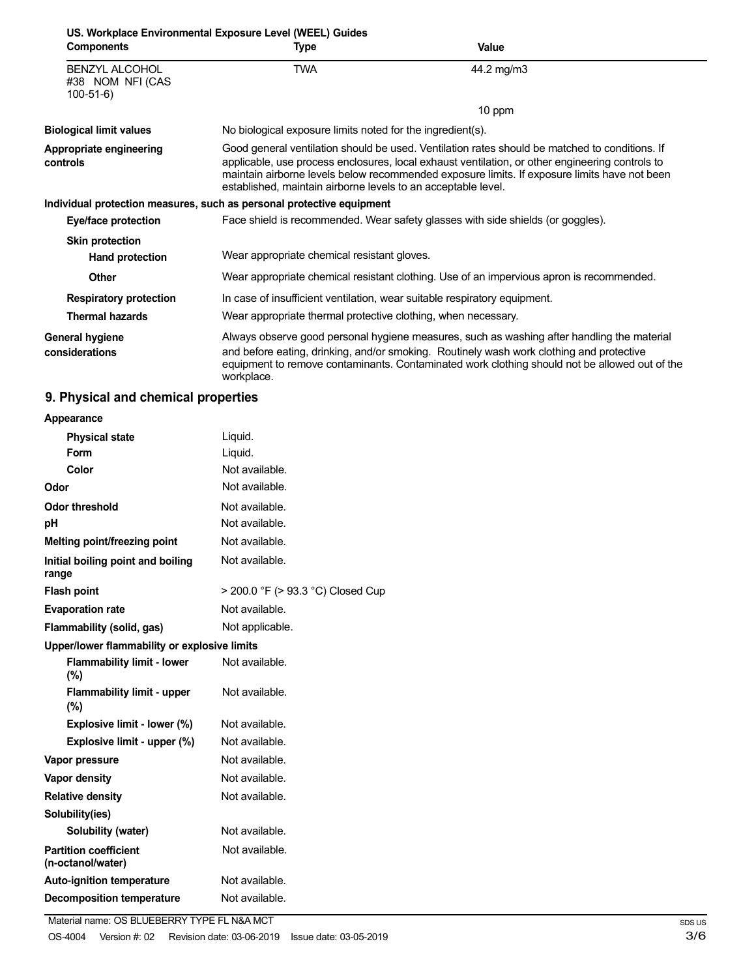| US. Workplace Environmental Exposure Level (WEEL) Guides |                                                                                                                                                                                                                                                                                                                                                                    |                                                                                                                                                                                                                                                                                         |
|----------------------------------------------------------|--------------------------------------------------------------------------------------------------------------------------------------------------------------------------------------------------------------------------------------------------------------------------------------------------------------------------------------------------------------------|-----------------------------------------------------------------------------------------------------------------------------------------------------------------------------------------------------------------------------------------------------------------------------------------|
| <b>Components</b>                                        | Type                                                                                                                                                                                                                                                                                                                                                               | <b>Value</b>                                                                                                                                                                                                                                                                            |
| <b>BENZYL ALCOHOL</b><br>#38 NOM NFI (CAS<br>$100-51-6$  | TWA                                                                                                                                                                                                                                                                                                                                                                | 44.2 mg/m3                                                                                                                                                                                                                                                                              |
|                                                          |                                                                                                                                                                                                                                                                                                                                                                    | 10 ppm                                                                                                                                                                                                                                                                                  |
| <b>Biological limit values</b>                           | No biological exposure limits noted for the ingredient(s).                                                                                                                                                                                                                                                                                                         |                                                                                                                                                                                                                                                                                         |
| Appropriate engineering<br>controls                      | Good general ventilation should be used. Ventilation rates should be matched to conditions. If<br>applicable, use process enclosures, local exhaust ventilation, or other engineering controls to<br>maintain airborne levels below recommended exposure limits. If exposure limits have not been<br>established, maintain airborne levels to an acceptable level. |                                                                                                                                                                                                                                                                                         |
|                                                          | Individual protection measures, such as personal protective equipment                                                                                                                                                                                                                                                                                              |                                                                                                                                                                                                                                                                                         |
| Eye/face protection                                      |                                                                                                                                                                                                                                                                                                                                                                    | Face shield is recommended. Wear safety glasses with side shields (or goggles).                                                                                                                                                                                                         |
| <b>Skin protection</b>                                   |                                                                                                                                                                                                                                                                                                                                                                    |                                                                                                                                                                                                                                                                                         |
| Hand protection                                          | Wear appropriate chemical resistant gloves.                                                                                                                                                                                                                                                                                                                        |                                                                                                                                                                                                                                                                                         |
| <b>Other</b>                                             |                                                                                                                                                                                                                                                                                                                                                                    | Wear appropriate chemical resistant clothing. Use of an impervious apron is recommended.                                                                                                                                                                                                |
| <b>Respiratory protection</b>                            | In case of insufficient ventilation, wear suitable respiratory equipment.                                                                                                                                                                                                                                                                                          |                                                                                                                                                                                                                                                                                         |
| <b>Thermal hazards</b>                                   | Wear appropriate thermal protective clothing, when necessary.                                                                                                                                                                                                                                                                                                      |                                                                                                                                                                                                                                                                                         |
| General hygiene<br>considerations                        | workplace.                                                                                                                                                                                                                                                                                                                                                         | Always observe good personal hygiene measures, such as washing after handling the material<br>and before eating, drinking, and/or smoking. Routinely wash work clothing and protective<br>equipment to remove contaminants. Contaminated work clothing should not be allowed out of the |

# **9. Physical and chemical properties**

| Appearance                                        |                                   |
|---------------------------------------------------|-----------------------------------|
| <b>Physical state</b>                             | Liquid.                           |
| Form                                              | Liquid.                           |
| Color                                             | Not available.                    |
| Odor                                              | Not available.                    |
| <b>Odor threshold</b>                             | Not available.                    |
| рH                                                | Not available.                    |
| Melting point/freezing point                      | Not available.                    |
| Initial boiling point and boiling<br>range        | Not available.                    |
| <b>Flash point</b>                                | > 200.0 °F (> 93.3 °C) Closed Cup |
| <b>Evaporation rate</b>                           | Not available.                    |
| Flammability (solid, gas)                         | Not applicable.                   |
| Upper/lower flammability or explosive limits      |                                   |
| <b>Flammability limit - lower</b><br>(%)          | Not available.                    |
| <b>Flammability limit - upper</b><br>(%)          | Not available.                    |
| Explosive limit - lower (%)                       | Not available.                    |
| Explosive limit - upper (%)                       | Not available.                    |
| Vapor pressure                                    | Not available.                    |
| <b>Vapor density</b>                              | Not available.                    |
| <b>Relative density</b>                           | Not available.                    |
| Solubility(ies)                                   |                                   |
| Solubility (water)                                | Not available.                    |
| <b>Partition coefficient</b><br>(n-octanol/water) | Not available.                    |
| <b>Auto-ignition temperature</b>                  | Not available.                    |
| <b>Decomposition temperature</b>                  | Not available.                    |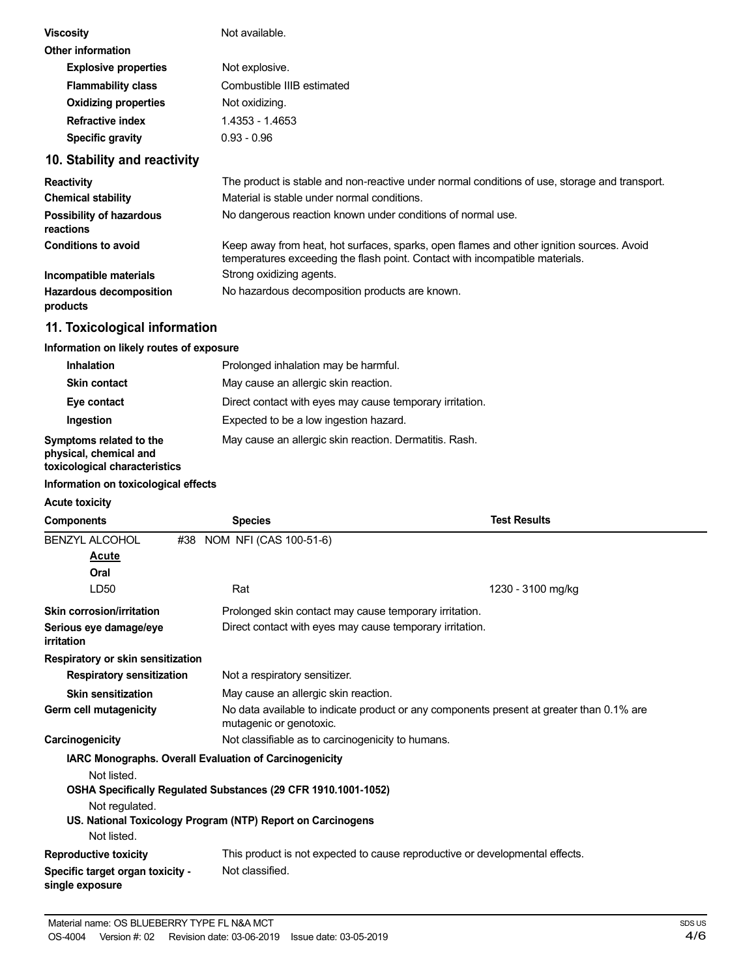| <b>Viscosity</b>            | Not available.             |
|-----------------------------|----------------------------|
| <b>Other information</b>    |                            |
| <b>Explosive properties</b> | Not explosive.             |
| <b>Flammability class</b>   | Combustible IIIB estimated |
| <b>Oxidizing properties</b> | Not oxidizing.             |
| <b>Refractive index</b>     | 1.4353 - 1.4653            |
| Specific gravity            | $0.93 - 0.96$              |
|                             |                            |

### **10. Stability and reactivity**

| <b>Reactivity</b>                            | The product is stable and non-reactive under normal conditions of use, storage and transport.                                                                            |
|----------------------------------------------|--------------------------------------------------------------------------------------------------------------------------------------------------------------------------|
| <b>Chemical stability</b>                    | Material is stable under normal conditions.                                                                                                                              |
| <b>Possibility of hazardous</b><br>reactions | No dangerous reaction known under conditions of normal use.                                                                                                              |
| <b>Conditions to avoid</b>                   | Keep away from heat, hot surfaces, sparks, open flames and other ignition sources. Avoid<br>temperatures exceeding the flash point. Contact with incompatible materials. |
| Incompatible materials                       | Strong oxidizing agents.                                                                                                                                                 |
| <b>Hazardous decomposition</b><br>products   | No hazardous decomposition products are known.                                                                                                                           |

### **11. Toxicological information**

#### **Information on likely routes of exposure**

| <b>Inhalation</b>                                                                  | Prolonged inhalation may be harmful.                     |
|------------------------------------------------------------------------------------|----------------------------------------------------------|
| <b>Skin contact</b>                                                                | May cause an allergic skin reaction.                     |
| Eye contact                                                                        | Direct contact with eyes may cause temporary irritation. |
| Ingestion                                                                          | Expected to be a low ingestion hazard.                   |
| Symptoms related to the<br>physical, chemical and<br>toxicological characteristics | May cause an allergic skin reaction. Dermatitis. Rash.   |

#### **Information on toxicological effects**

#### **Acute toxicity**

| <b>Components</b> |                                              | <b>Species</b>                                                                                                                | <b>Test Results</b>                                                                      |  |
|-------------------|----------------------------------------------|-------------------------------------------------------------------------------------------------------------------------------|------------------------------------------------------------------------------------------|--|
|                   | <b>BENZYL ALCOHOL</b><br>Acute<br>Oral       | #38 NOM NFI (CAS 100-51-6)                                                                                                    |                                                                                          |  |
|                   | LD <sub>50</sub>                             | Rat                                                                                                                           | 1230 - 3100 mg/kg                                                                        |  |
|                   | Skin corrosion/irritation                    |                                                                                                                               | Prolonged skin contact may cause temporary irritation.                                   |  |
| irritation        | Serious eye damage/eye                       |                                                                                                                               | Direct contact with eyes may cause temporary irritation.                                 |  |
|                   | Respiratory or skin sensitization            |                                                                                                                               |                                                                                          |  |
|                   | <b>Respiratory sensitization</b>             | Not a respiratory sensitizer.                                                                                                 |                                                                                          |  |
|                   | <b>Skin sensitization</b>                    | May cause an allergic skin reaction.                                                                                          |                                                                                          |  |
|                   | Germ cell mutagenicity                       | mutagenic or genotoxic.                                                                                                       | No data available to indicate product or any components present at greater than 0.1% are |  |
| Carcinogenicity   |                                              | Not classifiable as to carcinogenicity to humans.                                                                             |                                                                                          |  |
|                   |                                              | IARC Monographs. Overall Evaluation of Carcinogenicity                                                                        |                                                                                          |  |
|                   | Not listed.<br>Not regulated.<br>Not listed. | OSHA Specifically Regulated Substances (29 CFR 1910.1001-1052)<br>US. National Toxicology Program (NTP) Report on Carcinogens |                                                                                          |  |
|                   | <b>Reproductive toxicity</b>                 |                                                                                                                               | This product is not expected to cause reproductive or developmental effects.             |  |
| single exposure   | Specific target organ toxicity -             | Not classified.                                                                                                               |                                                                                          |  |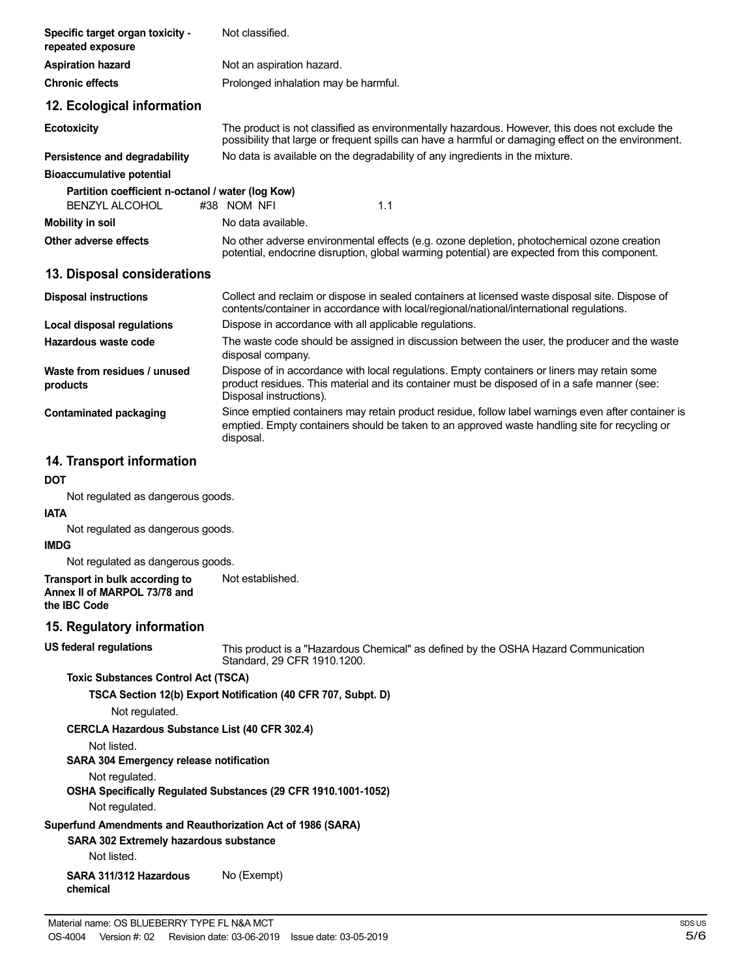| Specific target organ toxicity -<br>repeated exposure                                                                | Not classified.                                                                                                                                                                                                        |  |
|----------------------------------------------------------------------------------------------------------------------|------------------------------------------------------------------------------------------------------------------------------------------------------------------------------------------------------------------------|--|
| <b>Aspiration hazard</b>                                                                                             | Not an aspiration hazard.                                                                                                                                                                                              |  |
| <b>Chronic effects</b>                                                                                               | Prolonged inhalation may be harmful.                                                                                                                                                                                   |  |
| 12. Ecological information                                                                                           |                                                                                                                                                                                                                        |  |
| <b>Ecotoxicity</b>                                                                                                   | The product is not classified as environmentally hazardous. However, this does not exclude the<br>possibility that large or frequent spills can have a harmful or damaging effect on the environment.                  |  |
| Persistence and degradability                                                                                        | No data is available on the degradability of any ingredients in the mixture.                                                                                                                                           |  |
| <b>Bioaccumulative potential</b>                                                                                     |                                                                                                                                                                                                                        |  |
| Partition coefficient n-octanol / water (log Kow)<br><b>BENZYL ALCOHOL</b>                                           | #38 NOM NFI<br>1.1                                                                                                                                                                                                     |  |
| <b>Mobility in soil</b>                                                                                              | No data available.                                                                                                                                                                                                     |  |
| Other adverse effects                                                                                                | No other adverse environmental effects (e.g. ozone depletion, photochemical ozone creation<br>potential, endocrine disruption, global warming potential) are expected from this component.                             |  |
| 13. Disposal considerations                                                                                          |                                                                                                                                                                                                                        |  |
| <b>Disposal instructions</b>                                                                                         | Collect and reclaim or dispose in sealed containers at licensed waste disposal site. Dispose of<br>contents/container in accordance with local/regional/national/international regulations.                            |  |
| Local disposal regulations                                                                                           | Dispose in accordance with all applicable regulations.                                                                                                                                                                 |  |
| Hazardous waste code                                                                                                 | The waste code should be assigned in discussion between the user, the producer and the waste<br>disposal company.                                                                                                      |  |
| Waste from residues / unused<br>products                                                                             | Dispose of in accordance with local regulations. Empty containers or liners may retain some<br>product residues. This material and its container must be disposed of in a safe manner (see:<br>Disposal instructions). |  |
| <b>Contaminated packaging</b>                                                                                        | Since emptied containers may retain product residue, follow label warnings even after container is<br>emptied. Empty containers should be taken to an approved waste handling site for recycling or<br>disposal.       |  |
| 14. Transport information                                                                                            |                                                                                                                                                                                                                        |  |
| DOT                                                                                                                  |                                                                                                                                                                                                                        |  |
| Not regulated as dangerous goods.                                                                                    |                                                                                                                                                                                                                        |  |
| <b>IATA</b>                                                                                                          |                                                                                                                                                                                                                        |  |
| Not regulated as dangerous goods.<br><b>IMDG</b>                                                                     |                                                                                                                                                                                                                        |  |
| Not regulated as dangerous goods.                                                                                    |                                                                                                                                                                                                                        |  |
| Transport in bulk according to<br>Annex II of MARPOL 73/78 and<br>the IBC Code                                       | Not established.                                                                                                                                                                                                       |  |
| 15. Regulatory information                                                                                           |                                                                                                                                                                                                                        |  |
| <b>US federal regulations</b>                                                                                        | This product is a "Hazardous Chemical" as defined by the OSHA Hazard Communication<br>Standard, 29 CFR 1910.1200.                                                                                                      |  |
| <b>Toxic Substances Control Act (TSCA)</b>                                                                           |                                                                                                                                                                                                                        |  |
| Not regulated.                                                                                                       | TSCA Section 12(b) Export Notification (40 CFR 707, Subpt. D)                                                                                                                                                          |  |
| CERCLA Hazardous Substance List (40 CFR 302.4)                                                                       |                                                                                                                                                                                                                        |  |
| Not listed.                                                                                                          |                                                                                                                                                                                                                        |  |
| <b>SARA 304 Emergency release notification</b>                                                                       |                                                                                                                                                                                                                        |  |
| Not regulated.<br>Not regulated.                                                                                     | OSHA Specifically Regulated Substances (29 CFR 1910.1001-1052)                                                                                                                                                         |  |
| Superfund Amendments and Reauthorization Act of 1986 (SARA)<br>SARA 302 Extremely hazardous substance<br>Not listed. |                                                                                                                                                                                                                        |  |
| SARA 311/312 Hazardous<br>chemical                                                                                   | No (Exempt)                                                                                                                                                                                                            |  |
|                                                                                                                      |                                                                                                                                                                                                                        |  |